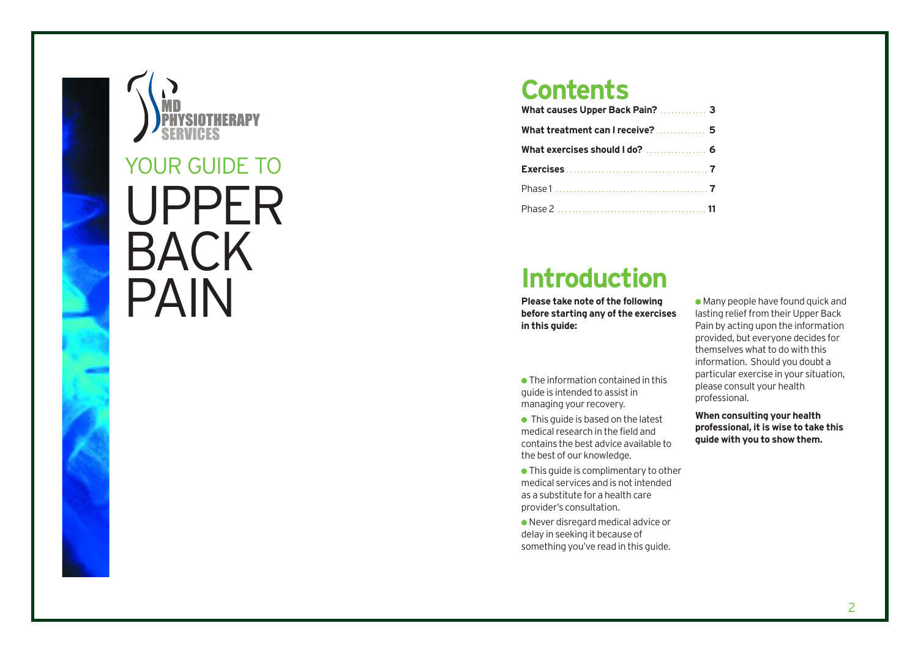

## **Contents**

| What causes Upper Back Pain?  3  |  |
|----------------------------------|--|
| What treatment can I receive?  5 |  |
|                                  |  |
|                                  |  |
|                                  |  |
|                                  |  |

# **Introduction**

**Please take note of the following before starting any of the exercises in this guide:**

- $\bullet$  The information contained in this guide is in tended to assist in managing your recovery.
- $\bullet$  This quide is based on the latest medical r e s earch in the field and contains the best advice available to the best of our knowledge.
- $\bullet$  This guide is complimentary to other medical servic es and is not intended as a substitute for a health care pr ovider 's consultation.
- Never disregard medical advice or delay in seeking it because of something you've read in this guide.

● Many people ha ve found quick and lasting relief from their Upper Back Pain by acting upon the information provided, but everyone decides for themselves what to do with this information. Should you doubt a particular exercise in your situation, please consult your health pr ofessional.

**When consulting your health professional, it is wise to take this guide with you to show them.**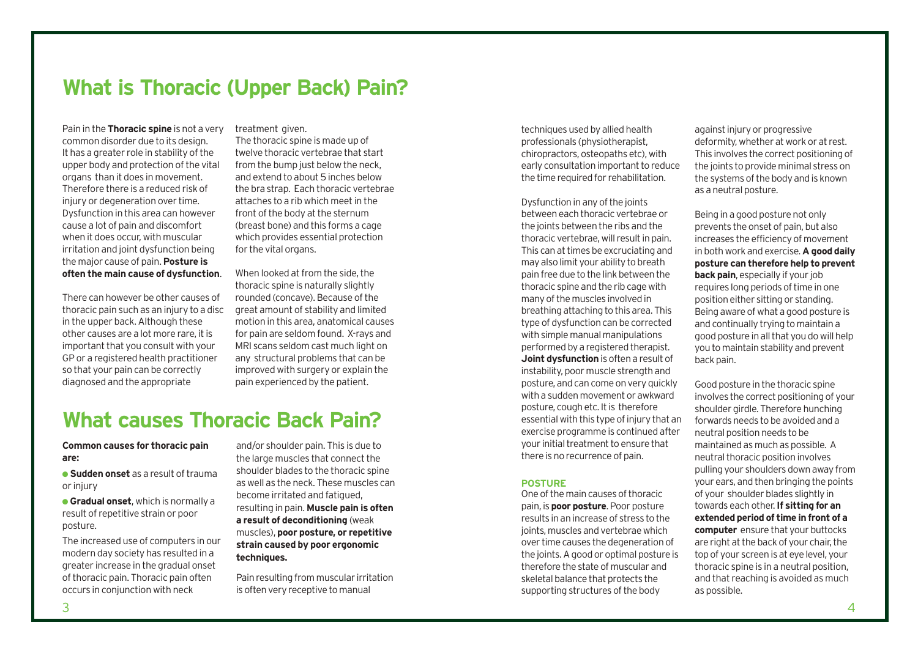### **What is Thoracic (Upper Back) Pain?**

Pain in the **Thoracic spine** is not a very common disorder due to its design. It has a greater role in stability of the upper body and protection of the vital organs than it does in movement. Therefore there is a reduced risk of injury or degeneration over time. Dysfunction in this area can however cause a lot of pain and discomfort when it does occur, with muscular irritation and joint dysfunction being the major cause of pain. **Posture is often the main cause of dysfunction**.

There can however be other causes of thoracic pain such as an injury to a disc in the upper back. Although these other causes are a lot more rare, it is important that you consult with your GP or a registered health practitioner so that your pain can be correctly diagnosed and the appropriate

treatment given.

The thoracic spine is made up of twelve thoracic vertebrae that start from the bump just below the neck, and extend to about 5 inches below the bra strap. Each thoracic vertebrae attaches to a rib which meet in the front of the body at the sternum (breast bone) and this forms a cage which provides essential protection for the vital organs.

When looked at from the side, the thoracic spine is naturally slightly rounded (concave). Because of the great amount of stability and limited motion in this area, anatomical causes for pain are seldom found. X-rays and MRI scans seldom cast much light on any structural problems that can be improved with surgery or explain the pain experienced by the patient.

### **What causes Thoracic Back Pain?**

#### **Common causes for thoracic pain are:**

● **Sudden onset** as a result of trauma or injury

● **Gradual onset**, which is normally a result of repetitive strain or poor posture.

The increased use of computers in our modern day society has resulted in a greater increase in the gradual onset of thoracic pain. Thoracic pain often occurs in conjunction with neck

and/or shoulder pain. This is due to the large muscles that connect the shoulder blades to the thoracic spine as well as the neck. These muscles can become irritated and fatigued, resulting in pain. **Muscle pain is often a result of deconditioning** (weak muscles), **poor posture, or repetitive strain caused by poor ergonomic techniques.**

Pain resulting from muscular irritation is often very receptive to manual

techniques used by allied health professionals (physiotherapist, chiropractors, osteopaths etc), with early consultation important to reduce the time required for rehabilitation.

Dysfunction in any of the joints between each thoracic vertebrae or the joints between the ribs and the thoracic vertebrae, will result in pain. This can at times be excruciating and may also limit your ability to breath pain free due to the link between the thoracic spine and the rib cage with many of the muscles involved in breathing attaching to this area. This type of dysfunction can be corrected with simple manual manipulations performed by a registered therapist. **Joint dysfunction** is often a result of instability, poor muscle strength and posture, and can come on very quickly with a sudden movement or awkward posture, cough etc. It is therefore essential with this type of injury that an exercise programme is continued after your initial treatment to ensure that there is no recurrence of pain.

#### **POSTURE**

One of the main causes of thoracic pain, is **poor posture**. Poor posture results in an increase of stress to the joints, muscles and vertebrae which over time causes the degeneration of the joints. A good or optimal posture is therefore the state of muscular and skeletal balance that protects the supporting structures of the body

against injury or progressive deformity, whether at work or at rest. This involves the correct positioning of the joints to provide minimal stress on the systems of the body and is known as a neutral posture.

Being in a good posture not only prevents the onset of pain, but also increases the efficiency of movement in both work and exercise. **A good daily posture can therefore help to prevent back pain**, especially if your job requires long periods of time in one position either sitting or standing. Being aware of what a good posture is and continually trying to maintain a good posture in all that you do will help you to maintain stability and prevent back pain.

Good posture in the thoracic spine involves the correct positioning of your shoulder girdle. Therefore hunching forwards needs to be avoided and a neutral position needs to be maintained as much as possible. A neutral thoracic position involves pulling your shoulders down away from your ears, and then bringing the points of your shoulder blades slightly in towards each other. **If sitting for an extended period of time in front of a computer** ensure that your buttocks are right at the back of your chair, the top of your screen is at eye level, your thoracic spine is in a neutral position, and that reaching is avoided as much as possible.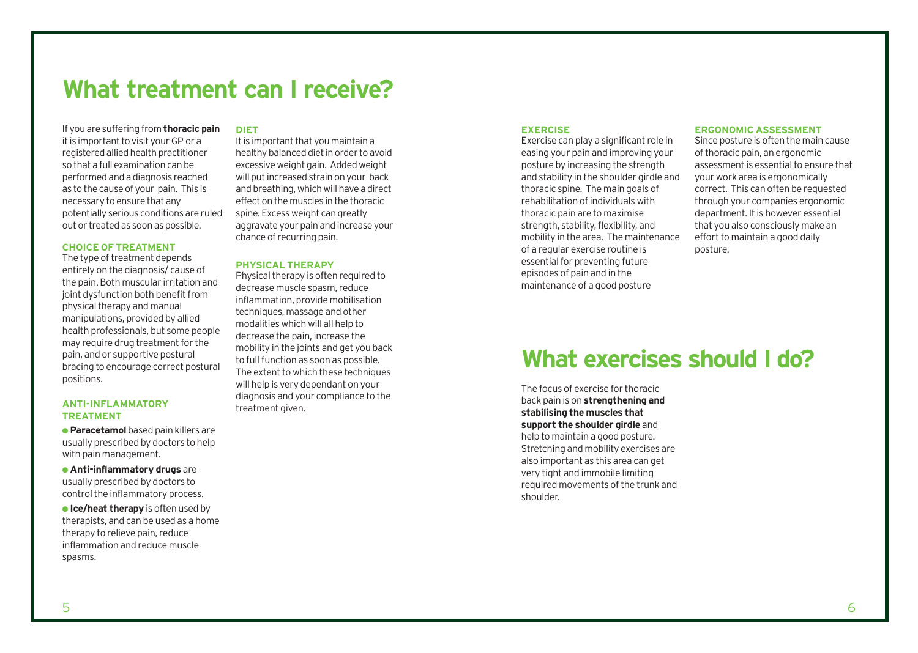### **What treatment can I receive?**

If you are suffering from **thoracic pain** it is important to visit your GP or a registered allied health practitioner so that a full examination can be performed and a diagnosis reached as to the cause of your pain. This is necessary to ensure that any potentially serious conditions are ruled out or treated as soon as possible.

#### **CHOICE OF TREATMENT**

The type of treatment depends entirely on the diagnosis/ cause of the pain. Both muscular irritation and joint dysfunction both benefit from physical therapy and manual manipulations, provided by allied health professionals, but some people may require drug treatment for the pain, and or supportive postural bracing to encourage correct postural positions.

#### **ANTI-INFLAMMATORY TREATMENT**

● **Paracetamol** based pain killers are usually prescribed by doctors to help with pain management.

● **Anti-inflammatory drugs** are usually prescribed by doctors to control the inflammatory process.

● **Ice/heat therapy** is often used by therapists, and can be used as a home therapy to relieve pain, reduce inflammation and reduce muscle spasms.

#### **DIET**

It is important that you maintain a healthy balanced diet in order to avoid excessive weight gain. Added weight will put increased strain on your back and breathing, which will have a direct effect on the muscles in the thoracic spine. Excess weight can greatly aggravate your pain and increase your chance of recurring pain.

#### **PHYSICAL THERAPY**

Physical therapy is often required to decrease muscle spasm, reduce inflammation, provide mobilisation techniques, massage and other modalities which will all help to decrease the pain, increase the mobility in the joints and get you back to full function as soon as possible. The extent to which these techniques will help is very dependant on your diagnosis and your compliance to the treatment given.

#### **EXERCISE**

Exercise can play a significant role in easing your pain and improving your posture by increasing the strength and stability in the shoulder girdle and thoracic spine. The main goals of rehabilitation of individuals with thoracic pain are to maximise strength, stability, flexibility, and mobility in the area. The maintenance of a regular exercise routine is essential for preventing future episodes of pain and in the maintenance of a good posture

#### **ERGONOMIC ASSESSMENT**

Since posture is often the main cause of thoracic pain, an ergonomic assessment is essential to ensure that your work area is ergonomically correct. This can often be requested through your companies ergonomic department. It is however essential that you also consciously make an effort to maintain a good daily posture.

## **What exercises should I do?**

The focus of exercise for thoracic back pain is on **strengthening and stabilising the muscles that support the shoulder girdle** and help to maintain a good posture. Stretching and mobility exercises are also important as this area can get very tight and immobile limiting required movements of the trunk and shoulder.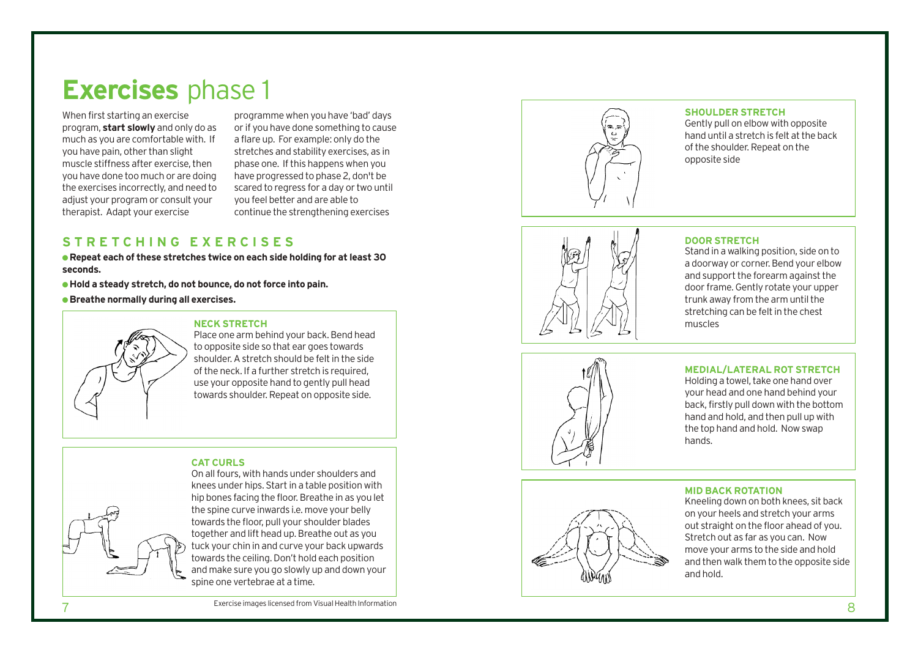# **Exercises** phase 1

When first starting an exercise program, **start slowly** and only do as much as you are comfortable with. If you have pain, other than slight muscle stiffness after exercise, then you have done too much or are doing the exercises incorrectly, and need to adjust your program or consult your therapist. Adapt your exercise

programme when you have 'bad' days or if you have done something to cause a flare up. For example: only do the stretches and stability exercises, as in phase one. If this happens when you have progressed to phase 2, don't be scared to regress for a day or two until you feel better and are able to continue the strengthening exercises

#### **STRETCHING EXERCISES**

● **Repeat each of these stretches twice on each side holding for at least 30 seconds.**

● **Hold a s t eady stretch, do not bounce, do not force into pain.**

● **Breathe normally during all exercises.**



#### **NECK STRETCH**

Place one arm behind your back. Bend head to opposite side so that ear goes towards shoulder. A stretch should be felt in the side of the neck. If a further stretch is required, use your opposite hand to gently pull head towards shoulder. Repeat on opposite side.

#### **CAT CURLS**

On all fours, with hands under shoulders and knees under hip s. S tart in a table position with hip bones facing the floor. Breathe in as you let the spine curve inwards i.e. move your belly towards the floor, pull your shoulder blades together and lift head up. Breathe out as you tuck your chin in and curve your back upwards towards the ceiling. Don't hold each position and make sure you go slowly up and down your spine one ver tebrae at a time .



#### **SHOULDER STRETCH**

Gently pull on elbow with opposite hand until a stretch is felt at the back of the shoulder. Repeat on the opposite side



#### **DOOR STRETCH**

Stand in a walking position, side on to a doorway or corner. Bend your elbow and support the forearm against the door frame. Gently rotate your upper trunk away from the arm until the stretching can be felt in the chest muscles



#### **MEDIAL/LATERAL ROT STRETCH**

Holding a towel, take one hand over your head and one hand behind your back, firstly pull down with the bottom hand and hold, and then pull up with the top hand and hold. Now swap hands.



#### **MID BACK ROTATION**

Kneeling down on both knees, sit back on your heels and stretch your arms out straight on the floor ahead of you. Stretch out as far as you can. Now move your arms to the side and hold and then walk them to the opposite side and hold.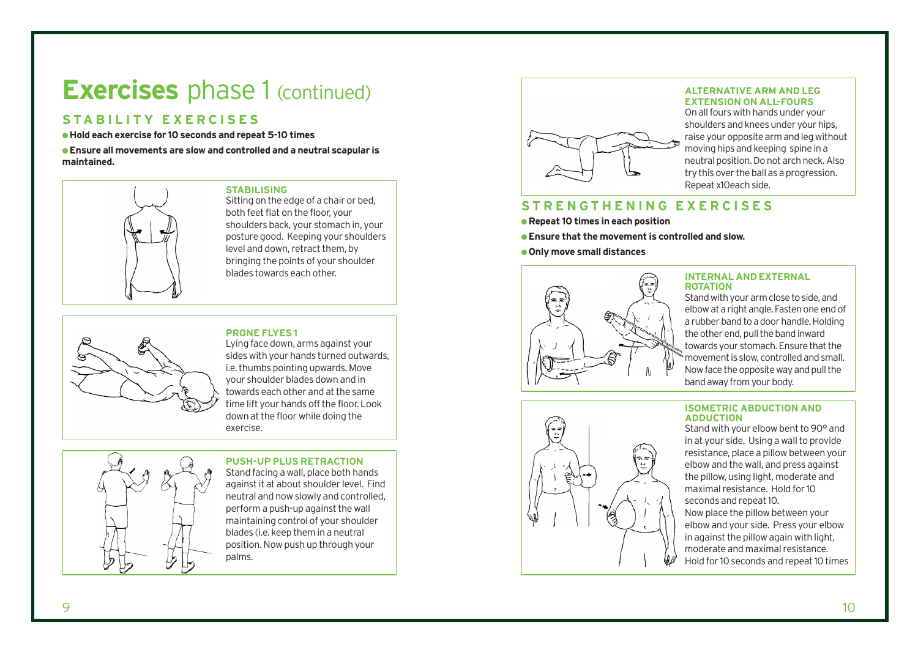# **Exercises** phase 1 (continued) **ALTERNATIVE ARM AND LEG**

### **STABILITY EXERCISES**

● **Hold each exercise for 10 seconds and repeat 5-10 times**

● **Ensure all movements are slow and controlled and a neutral scapular is maintained.**



#### **STABILISING**

Sitting on the edge of a chair or bed, both feet flat on the floor, your shoulders back, your stomach in, your posture good. Keeping your shoulders level and down, retract them, by bringing the points of your shoulder blades towards each other.



#### **PRONE FLYES 1**

Lying face down, arms against your sides with your hands turned outwards, i.e. thumbs pointing upwards. Move your shoulder blades down and in towards each other and at the same time lift your hands off the floor. Look down at the floor while doing the exercise.



**PUSH-UP PLUS RETRACTION** Stand facing a wall, place both hands

against it at about shoulder level. Find neutral and now slowly and controlled, perform a push-up against the wall maintaining control of your shoulder blades (i.e. keep them in a neutral position. Now push up through your palms.



### **EXTENSION ON ALL-FOURS**

On all fours with hands under your shoulders and knees under your hips, raise your opposite arm and leg without moving hips and keeping spine in a neutral position. Do not arch neck. Also try this over the ball as a progression. Repeat x10each side.

#### **STRENGTHENING EXERCISES**

● **Repeat 10 times in each position**

● **Ensure that the movement is controlled and slow.**

● **Only move small distances**



#### **INTERNAL AND EXTERNAL ROTATION**

Stand with your arm close to side, and elbow at a right angle. Fasten one end of a rubber band to a door handle. Holding the other end, pull the band inward towards your stomach. Ensure that the movement is slow, controlled and small. Now face the opposite way and pull the band away from your body.



#### **ISOMETRIC ABDUCTION AND ADDUCTION**

Stand with your elbow bent to 90° and in at your side. Using a wall to provide resistance, place a pillow between your elbow and the wall, and press against the pillow, using light, moderate and maximal resistance. Hold for 10 seconds and repeat 10. Now place the pillow between your elbow and your side. Press your elbow in against the pillow again with light, moderate and maximal resistance. Hold for 10 seconds and repeat 10 times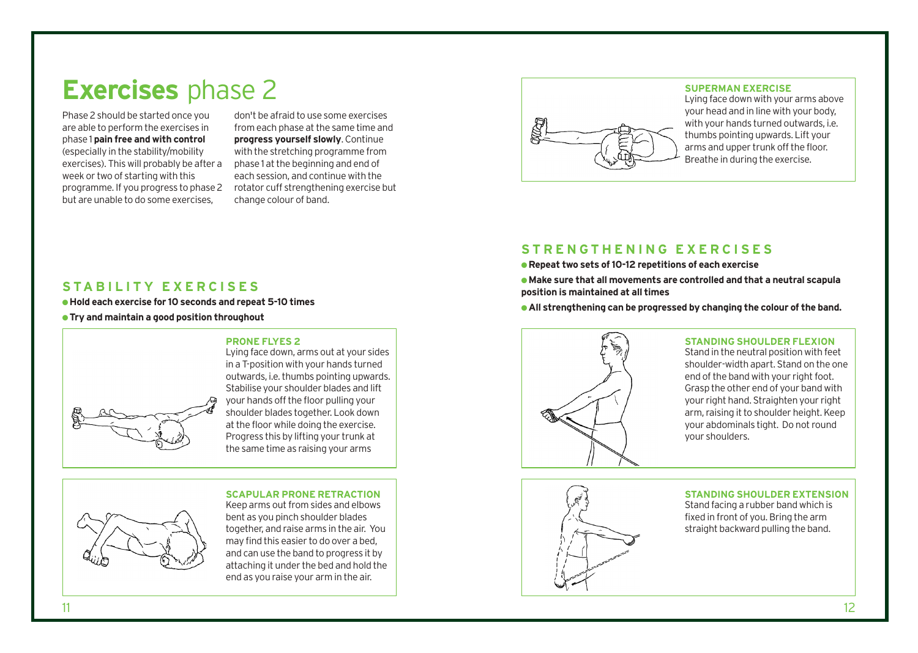# **Exercises** phase 2

Phase 2 should be started once you are able to perform the exercises in phase 1 **pain free and with control** (especially in the stability/mobility exercises). This will probably be after a week or two of starting with this programme. If you progress to phase 2 but are unable to do some exercises,

don't be afraid to use some exercises from each phase at the same time and **progress yourself slowly**. Continue with the stretching programme from phase 1 at the beginning and end of each session, and continue with the rotator cuff strengthening exercise but change colour of band.



#### **SUPERMAN EXERCISE**

Lying face down with your arms above your head and in line with your body, with your hands turned outwards, i.e. thumbs pointing upwards. Lift your arms and upper trunk off the floor. Breathe in during the exercise.

#### **STRENGTHENING EXERCISES**

● **Repeat two sets of 10-12 repetitions of each exercise**

● **Make sure that all movements are controlled and that a neutral scapula position is maintained at all times**

● **All strengthening can be progressed by changing the colour of the band.**



#### **STANDING SHOULDER FLEXION**

Stand in the neutral position with feet shoulder-width apart. Stand on the one end of the band with your right foot. Grasp the other end of your band with your right hand. Straighten your right arm, raising it to shoulder height. Keep your abdominals tight. Do not round your shoulders.



#### **STANDING SHOULDER EXTENSION**

Stand facing a rubber band which is fixed in front of you. Bring the arm straight backward pulling the band.

#### **STABILITY EXERCISES**

● **Hold each exercise for 10 seconds and repeat 5-10 times**

● **Try and maintain a good position throughout**

#### **PRONE FLYES 2**



Lying face down, arms out at your sides in a T-position with your hands turned outwards, i.e. thumbs pointing upwards. Stabilise your shoulder blades and lift your hands off the floor pulling your shoulder blades together. Look down at the floor while doing the exercise. Progress this by lifting your trunk at the same time as raising your arms

Keep arms out from sides and elbows bent as you pinch shoulder blades together, and raise arms in the air. You may find this easier to do over a bed, and can use the band to progress it by attaching it under the bed and hold the end as you raise your arm in the air.

**SCAPULAR PRONE RETRACTION**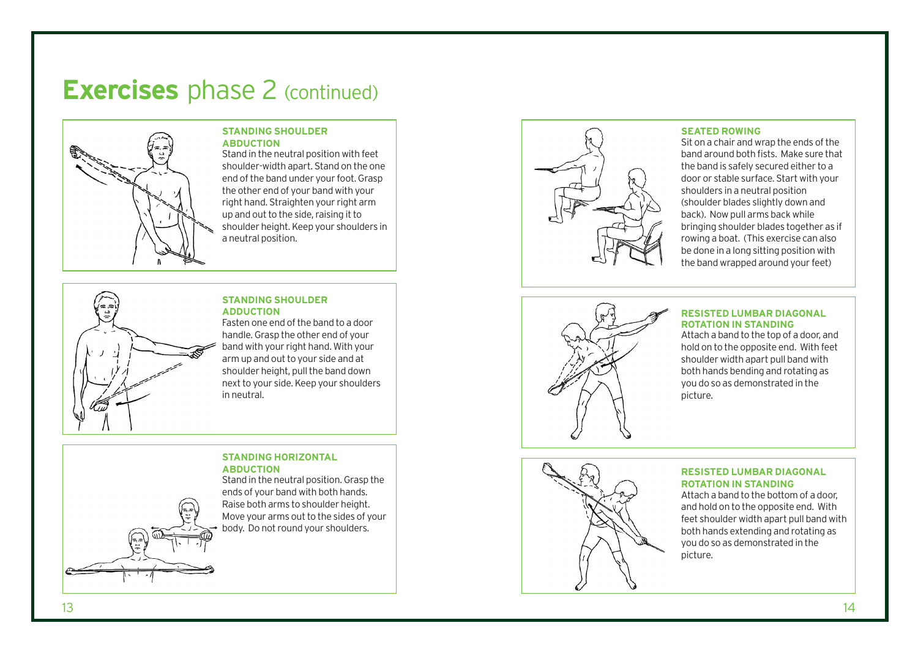# **Exercises** phase 2 (continued)



#### **STANDING SHOULDER ABDUCTION**

Stand in the neutral position with feet shoulder-width apart. Stand on the one end of the band under your foot. Grasp the other end of your band with your right hand. Straighten your right arm up and out to the side, raising it to shoulder height. Keep your shoulders in a neutral position.

#### **STANDING SHOULDER ADDUCTION** Fasten one end of the band to a door

handle. Grasp the other end of your band with your right hand. With your arm up and out to your side and at shoulder height, pull the band down next to your side. Keep your shoulders in neutral.

#### **STANDING HORIZONTAL ABDUCTION**

Stand in the neutral position. Grasp the ends of your band with both hands. Raise both arms to shoulder height. Move your arms out to the sides of your body. Do not round your shoulders.



#### **SEATED ROWING**

Sit on a chair and wrap the ends of the band around both fists. Make sure that the band is safely secured either to a door or stable surface. Start with your shoulders in a neutral position (shoulder blades slightly down and back). Now pull arms back while bringing shoulder blades together as if rowing a boat. (This exercise can also be done in a long sitting position with the band wrapped around your feet)



#### **RESISTED LUMBAR DIAGONAL ROTATION IN STANDING**

Attach a band to the top of a door, and hold on to the opposite end. With feet shoulder width apart pull band with both hands bending and rotating as you do so as demonstrated in the picture.



#### **RESISTED LUMBAR DIAGONAL ROTATION IN STANDING**

Attach a band to the bottom of a door, and hold on to the opposite end. With feet shoulder width apart pull band with both hands extending and rotating as you do so as demonstrated in the picture.